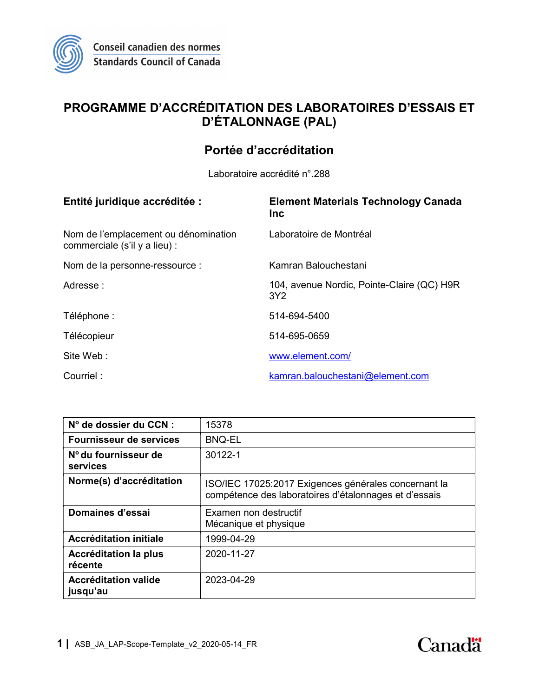

# PROGRAMME D'ACCRÉDITATION DES LABORATOIRES D'ESSAIS ET D'ÉTALONNAGE (PAL)

## Portée d'accréditation

Laboratoire accrédité n°.288

| Entité juridique accréditée :                                         | <b>Element Materials Technology Canada</b><br><b>Inc</b>      |
|-----------------------------------------------------------------------|---------------------------------------------------------------|
| Nom de l'emplacement ou dénomination<br>commerciale (s'il y a lieu) : | Laboratoire de Montréal                                       |
| Nom de la personne-ressource :                                        | Kamran Balouchestani                                          |
| Adresse:                                                              | 104, avenue Nordic, Pointe-Claire (QC) H9R<br>3Y <sub>2</sub> |
| Téléphone :                                                           | 514-694-5400                                                  |
| Télécopieur                                                           | 514-695-0659                                                  |
| Site Web:                                                             | www.element.com/                                              |
| Courriel:                                                             | kamran.balouchestani@element.com                              |

| N° de dossier du CCN :                  | 15378                                                                                                         |
|-----------------------------------------|---------------------------------------------------------------------------------------------------------------|
| Fournisseur de services                 | <b>BNQ-EL</b>                                                                                                 |
| Nº du fournisseur de<br>services        | 30122-1                                                                                                       |
| Norme(s) d'accréditation                | ISO/IEC 17025:2017 Exigences générales concernant la<br>compétence des laboratoires d'étalonnages et d'essais |
| Domaines d'essai                        | Examen non destructif<br>Mécanique et physique                                                                |
| Accréditation initiale                  | 1999-04-29                                                                                                    |
| <b>Accréditation la plus</b><br>récente | 2020-11-27                                                                                                    |
| <b>Accréditation valide</b><br>jusqu'au | 2023-04-29                                                                                                    |

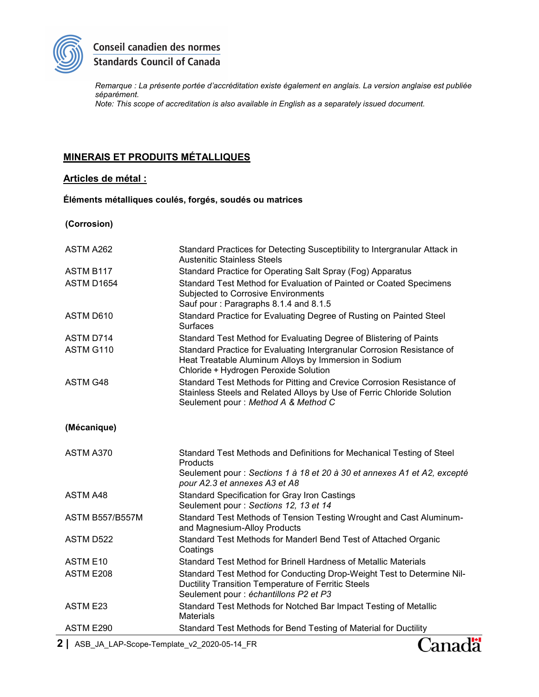

## Conseil canadien des normes **Standards Council of Canada**

Remarque : La présente portée d'accréditation existe également en anglais. La version anglaise est publiée séparément. Note: This scope of accreditation is also available in English as a separately issued document.

MINERAIS ET PRODUITS MÉTALLIQUES

### Articles de métal :

#### Éléments métalliques coulés, forgés, soudés ou matrices

(Corrosion)

| ASTM A262              | Standard Practices for Detecting Susceptibility to Intergranular Attack in<br><b>Austenitic Stainless Steels</b>                                                                        |
|------------------------|-----------------------------------------------------------------------------------------------------------------------------------------------------------------------------------------|
| ASTM B117              | Standard Practice for Operating Salt Spray (Fog) Apparatus                                                                                                                              |
| ASTM D1654             | Standard Test Method for Evaluation of Painted or Coated Specimens<br>Subjected to Corrosive Environments<br>Sauf pour: Paragraphs 8.1.4 and 8.1.5                                      |
| ASTM D610              | Standard Practice for Evaluating Degree of Rusting on Painted Steel<br><b>Surfaces</b>                                                                                                  |
| ASTM D714              | Standard Test Method for Evaluating Degree of Blistering of Paints                                                                                                                      |
| ASTM G110              | Standard Practice for Evaluating Intergranular Corrosion Resistance of<br>Heat Treatable Aluminum Alloys by Immersion in Sodium<br>Chloride + Hydrogen Peroxide Solution                |
| ASTM G48               | Standard Test Methods for Pitting and Crevice Corrosion Resistance of<br>Stainless Steels and Related Alloys by Use of Ferric Chloride Solution<br>Seulement pour : Method A & Method C |
| (Mécanique)            |                                                                                                                                                                                         |
| ASTM A370              | Standard Test Methods and Definitions for Mechanical Testing of Steel<br>Products                                                                                                       |
|                        | Seulement pour : Sections 1 à 18 et 20 à 30 et annexes A1 et A2, excepté<br>pour A2.3 et annexes A3 et A8                                                                               |
| <b>ASTM A48</b>        | <b>Standard Specification for Gray Iron Castings</b><br>Seulement pour : Sections 12, 13 et 14                                                                                          |
| <b>ASTM B557/B557M</b> | Standard Test Methods of Tension Testing Wrought and Cast Aluminum-<br>and Magnesium-Alloy Products                                                                                     |
| ASTM D522              | Standard Test Methods for Manderl Bend Test of Attached Organic<br>Coatings                                                                                                             |
| ASTM E10               | Standard Test Method for Brinell Hardness of Metallic Materials                                                                                                                         |
| ASTM E208              | Standard Test Method for Conducting Drop-Weight Test to Determine Nil-<br>Ductility Transition Temperature of Ferritic Steels<br>Seulement pour : échantillons P2 et P3                 |
| ASTM E23               | Standard Test Methods for Notched Bar Impact Testing of Metallic<br><b>Materials</b>                                                                                                    |
| ASTM E290              | Standard Test Methods for Bend Testing of Material for Ductility                                                                                                                        |

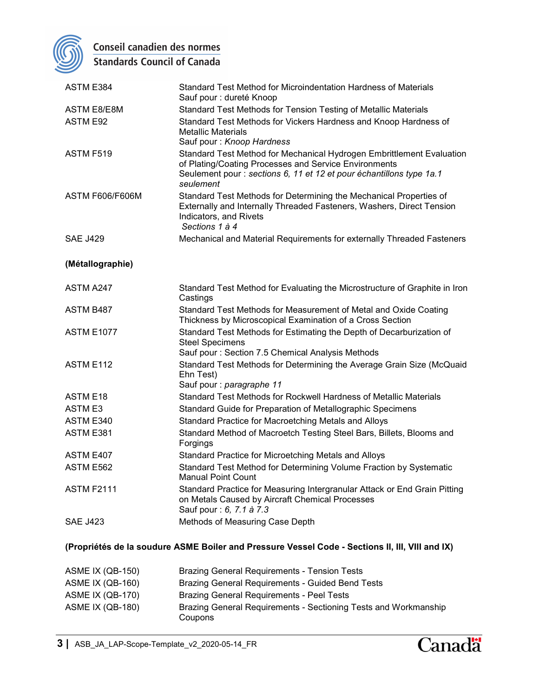

Conseil canadien des normes

**Standards Council of Canada** 

| ASTM E384                                                                                       | Standard Test Method for Microindentation Hardness of Materials<br>Sauf pour : dureté Knoop                                                                                                                         |  |
|-------------------------------------------------------------------------------------------------|---------------------------------------------------------------------------------------------------------------------------------------------------------------------------------------------------------------------|--|
| <b>ASTM E8/E8M</b>                                                                              | Standard Test Methods for Tension Testing of Metallic Materials                                                                                                                                                     |  |
| <b>ASTM E92</b>                                                                                 | Standard Test Methods for Vickers Hardness and Knoop Hardness of<br><b>Metallic Materials</b><br>Sauf pour: Knoop Hardness                                                                                          |  |
| ASTM F519                                                                                       | Standard Test Method for Mechanical Hydrogen Embrittlement Evaluation<br>of Plating/Coating Processes and Service Environments<br>Seulement pour : sections 6, 11 et 12 et pour échantillons type 1a.1<br>seulement |  |
| <b>ASTM F606/F606M</b>                                                                          | Standard Test Methods for Determining the Mechanical Properties of<br>Externally and Internally Threaded Fasteners, Washers, Direct Tension<br>Indicators, and Rivets<br>Sections 1 à 4                             |  |
| <b>SAE J429</b>                                                                                 | Mechanical and Material Requirements for externally Threaded Fasteners                                                                                                                                              |  |
| (Métallographie)                                                                                |                                                                                                                                                                                                                     |  |
| ASTM A247                                                                                       | Standard Test Method for Evaluating the Microstructure of Graphite in Iron<br>Castings                                                                                                                              |  |
| <b>ASTM B487</b>                                                                                | Standard Test Methods for Measurement of Metal and Oxide Coating<br>Thickness by Microscopical Examination of a Cross Section                                                                                       |  |
| <b>ASTM E1077</b>                                                                               | Standard Test Methods for Estimating the Depth of Decarburization of<br><b>Steel Specimens</b><br>Sauf pour: Section 7.5 Chemical Analysis Methods                                                                  |  |
| ASTM E112                                                                                       | Standard Test Methods for Determining the Average Grain Size (McQuaid<br>Ehn Test)<br>Sauf pour : paragraphe 11                                                                                                     |  |
| ASTM E18                                                                                        | Standard Test Methods for Rockwell Hardness of Metallic Materials                                                                                                                                                   |  |
| <b>ASTM E3</b>                                                                                  | Standard Guide for Preparation of Metallographic Specimens                                                                                                                                                          |  |
| ASTM E340                                                                                       | Standard Practice for Macroetching Metals and Alloys                                                                                                                                                                |  |
| ASTM E381                                                                                       | Standard Method of Macroetch Testing Steel Bars, Billets, Blooms and<br>Forgings                                                                                                                                    |  |
| ASTM E407                                                                                       | Standard Practice for Microetching Metals and Alloys                                                                                                                                                                |  |
| ASTM E562                                                                                       | Standard Test Method for Determining Volume Fraction by Systematic<br><b>Manual Point Count</b>                                                                                                                     |  |
| <b>ASTM F2111</b>                                                                               | Standard Practice for Measuring Intergranular Attack or End Grain Pitting<br>on Metals Caused by Aircraft Chemical Processes<br>Sauf pour : 6, 7.1 à 7.3                                                            |  |
| <b>SAE J423</b>                                                                                 | Methods of Measuring Case Depth                                                                                                                                                                                     |  |
| (Propriétés de la soudure ASME Boiler and Pressure Vessel Code - Sections II, III, VIII and IX) |                                                                                                                                                                                                                     |  |
| <b>ASME IX (QB-150)</b>                                                                         | <b>Brazing General Requirements - Tension Tests</b>                                                                                                                                                                 |  |

ASME IX (QB-160) Brazing General Requirements - Guided Bend Tests ASME IX (QB-170) Brazing General Requirements - Peel Tests ASME IX (QB-180) Brazing General Requirements - Sectioning Tests and Workmanship Coupons

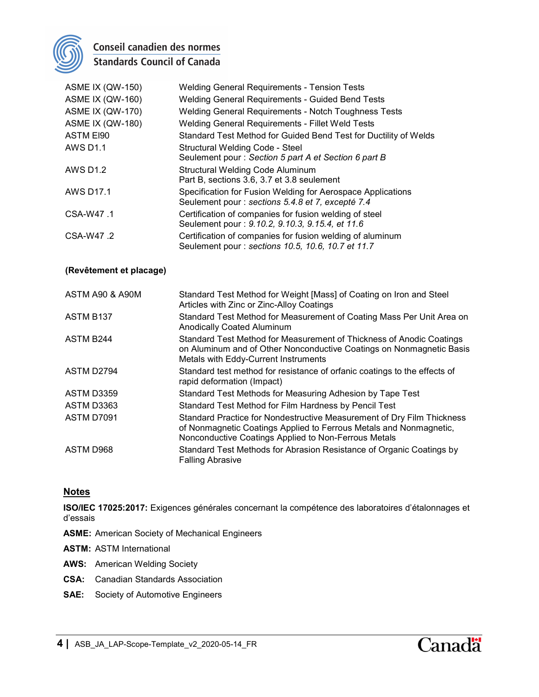

## Conseil canadien des normes **Standards Council of Canada**

| <b>ASME IX (QW-150)</b> | <b>Welding General Requirements - Tension Tests</b>                                                              |
|-------------------------|------------------------------------------------------------------------------------------------------------------|
| <b>ASME IX (QW-160)</b> | <b>Welding General Requirements - Guided Bend Tests</b>                                                          |
| <b>ASME IX (QW-170)</b> | Welding General Requirements - Notch Toughness Tests                                                             |
| <b>ASME IX (QW-180)</b> | <b>Welding General Requirements - Fillet Weld Tests</b>                                                          |
| <b>ASTM EI90</b>        | Standard Test Method for Guided Bend Test for Ductility of Welds                                                 |
| <b>AWS D1.1</b>         | Structural Welding Code - Steel<br>Seulement pour: Section 5 part A et Section 6 part B                          |
| <b>AWS D1.2</b>         | <b>Structural Welding Code Aluminum</b><br>Part B, sections 3.6, 3.7 et 3.8 seulement                            |
| <b>AWS D17.1</b>        | Specification for Fusion Welding for Aerospace Applications<br>Seulement pour : sections 5.4.8 et 7, excepté 7.4 |
| CSA-W47.1               | Certification of companies for fusion welding of steel<br>Seulement pour: 9.10.2, 9.10.3, 9.15.4, et 11.6        |
| CSA-W47.2               | Certification of companies for fusion welding of aluminum<br>Seulement pour : sections 10.5, 10.6, 10.7 et 11.7  |

#### (Revêtement et placage)

| ASTM A90 & A90M | Standard Test Method for Weight [Mass] of Coating on Iron and Steel<br>Articles with Zinc or Zinc-Alloy Coatings                                                                                     |
|-----------------|------------------------------------------------------------------------------------------------------------------------------------------------------------------------------------------------------|
| ASTM B137       | Standard Test Method for Measurement of Coating Mass Per Unit Area on<br><b>Anodically Coated Aluminum</b>                                                                                           |
| ASTM B244       | Standard Test Method for Measurement of Thickness of Anodic Coatings<br>on Aluminum and of Other Nonconductive Coatings on Nonmagnetic Basis<br>Metals with Eddy-Current Instruments                 |
| ASTM D2794      | Standard test method for resistance of orfanic coatings to the effects of<br>rapid deformation (Impact)                                                                                              |
| ASTM D3359      | Standard Test Methods for Measuring Adhesion by Tape Test                                                                                                                                            |
| ASTM D3363      | Standard Test Method for Film Hardness by Pencil Test                                                                                                                                                |
| ASTM D7091      | Standard Practice for Nondestructive Measurement of Dry Film Thickness<br>of Nonmagnetic Coatings Applied to Ferrous Metals and Nonmagnetic,<br>Nonconductive Coatings Applied to Non-Ferrous Metals |
| ASTM D968       | Standard Test Methods for Abrasion Resistance of Organic Coatings by<br><b>Falling Abrasive</b>                                                                                                      |

### **Notes**

ISO/IEC 17025:2017: Exigences générales concernant la compétence des laboratoires d'étalonnages et d'essais

- ASME: American Society of Mechanical Engineers
- ASTM: ASTM International
- AWS: American Welding Society
- CSA: Canadian Standards Association
- SAE: Society of Automotive Engineers